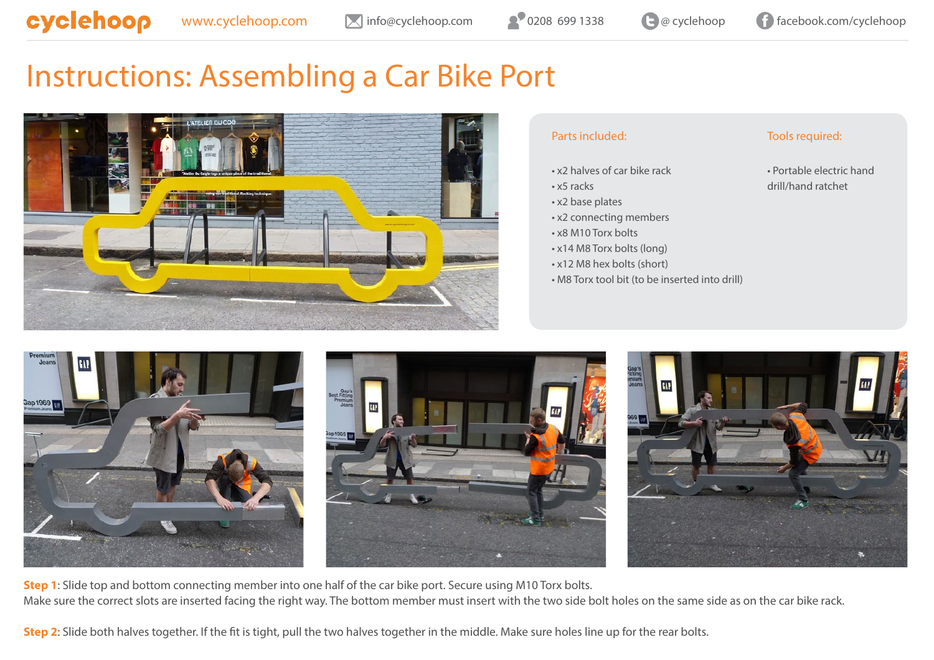# Instructions: Assembling a Car Bike Port



## Parts included:

- x2 halves of car bike rack
- x5 racks
- x2 base plates
- x2 connecting members
- x8 M10 Torx bolts
- x14 M8 Torx bolts (long)
- x12 M8 hex bolts (short)
- M8 Torx tool bit (to be inserted into drill)

### Tools required:

• Portable electric hand drill/hand ratchet



**Step 1**: Slide top and bottom connecting member into one half of the car bike port. Secure using M10 Torx bolts. Make sure the correct slots are inserted facing the right way. The bottom member must insert with the two side bolt holes on the same side as on the car bike rack.

**Step 2**: Slide both halves together. If the fit is tight, pull the two halves together in the middle. Make sure holes line up for the rear bolts.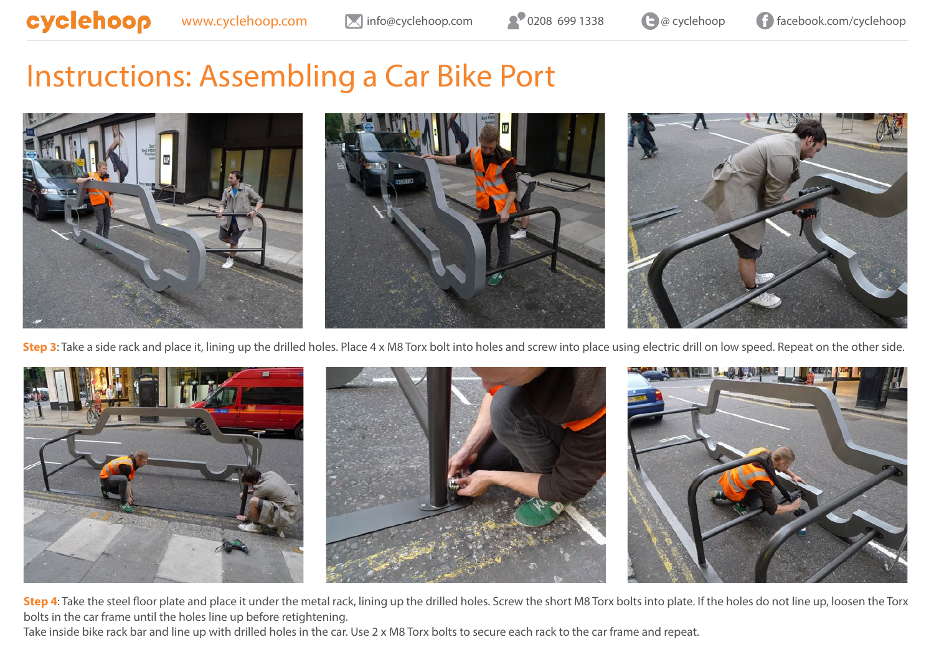# Instructions: Assembling a Car Bike Port



**Step 3**: Take a side rack and place it, lining up the drilled holes. Place 4 x M8 Torx bolt into holes and screw into place using electric drill on low speed. Repeat on the other side.



**Step 4**: Take the steel floor plate and place it under the metal rack, lining up the drilled holes. Screw the short M8 Torx bolts into plate. If the holes do not line up, loosen the Torx bolts in the car frame until the holes line up before retightening.

Take inside bike rack bar and line up with drilled holes in the car. Use 2 x M8 Torx bolts to secure each rack to the car frame and repeat.